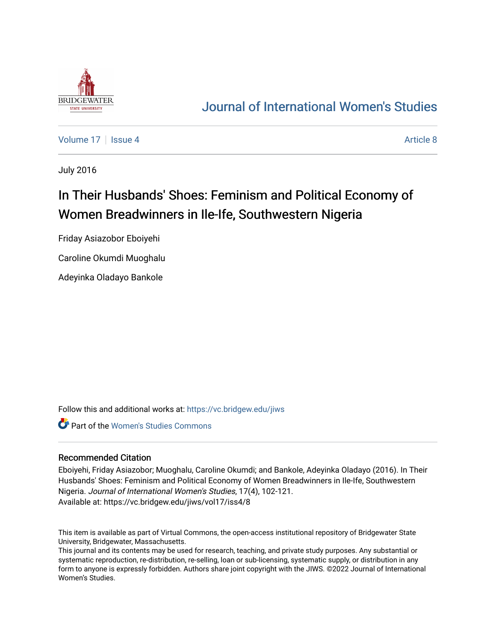

## [Journal of International Women's Studies](https://vc.bridgew.edu/jiws)

[Volume 17](https://vc.bridgew.edu/jiws/vol17) Setupate 4 [Article 8](https://vc.bridgew.edu/jiws/vol17/iss4/8) Article 8 Article 8 Article 8

July 2016

# In Their Husbands' Shoes: Feminism and Political Economy of Women Breadwinners in Ile-Ife, Southwestern Nigeria

Friday Asiazobor Eboiyehi

Caroline Okumdi Muoghalu

Adeyinka Oladayo Bankole

Follow this and additional works at: [https://vc.bridgew.edu/jiws](https://vc.bridgew.edu/jiws?utm_source=vc.bridgew.edu%2Fjiws%2Fvol17%2Fiss4%2F8&utm_medium=PDF&utm_campaign=PDFCoverPages)

Part of the [Women's Studies Commons](http://network.bepress.com/hgg/discipline/561?utm_source=vc.bridgew.edu%2Fjiws%2Fvol17%2Fiss4%2F8&utm_medium=PDF&utm_campaign=PDFCoverPages) 

#### Recommended Citation

Eboiyehi, Friday Asiazobor; Muoghalu, Caroline Okumdi; and Bankole, Adeyinka Oladayo (2016). In Their Husbands' Shoes: Feminism and Political Economy of Women Breadwinners in Ile-Ife, Southwestern Nigeria. Journal of International Women's Studies, 17(4), 102-121. Available at: https://vc.bridgew.edu/jiws/vol17/iss4/8

This item is available as part of Virtual Commons, the open-access institutional repository of Bridgewater State University, Bridgewater, Massachusetts.

This journal and its contents may be used for research, teaching, and private study purposes. Any substantial or systematic reproduction, re-distribution, re-selling, loan or sub-licensing, systematic supply, or distribution in any form to anyone is expressly forbidden. Authors share joint copyright with the JIWS. ©2022 Journal of International Women's Studies.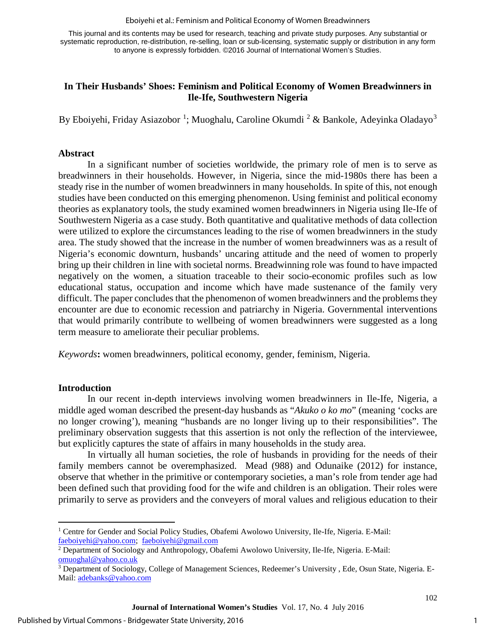#### Eboiyehi et al.: Feminism and Political Economy of Women Breadwinners

This journal and its contents may be used for research, teaching and private study purposes. Any substantial or systematic reproduction, re-distribution, re-selling, loan or sub-licensing, systematic supply or distribution in any form to anyone is expressly forbidden. ©2016 Journal of International Women's Studies.

#### **In Their Husbands' Shoes: Feminism and Political Economy of Women Breadwinners in Ile-Ife, Southwestern Nigeria**

By Eboiyehi, Friday Asiazobor <sup>[1](#page-1-0)</sup>; Muoghalu, Caroline Okumdi <sup>[2](#page-1-1)</sup> & Bankole, Adeyinka Oladayo<sup>[3](#page-1-2)</sup>

#### **Abstract**

In a significant number of societies worldwide, the primary role of men is to serve as breadwinners in their households. However, in Nigeria, since the mid-1980s there has been a steady rise in the number of women breadwinners in many households. In spite of this, not enough studies have been conducted on this emerging phenomenon. Using feminist and political economy theories as explanatory tools, the study examined women breadwinners in Nigeria using Ile-Ife of Southwestern Nigeria as a case study. Both quantitative and qualitative methods of data collection were utilized to explore the circumstances leading to the rise of women breadwinners in the study area. The study showed that the increase in the number of women breadwinners was as a result of Nigeria's economic downturn, husbands' uncaring attitude and the need of women to properly bring up their children in line with societal norms. Breadwinning role was found to have impacted negatively on the women, a situation traceable to their socio-economic profiles such as low educational status, occupation and income which have made sustenance of the family very difficult. The paper concludes that the phenomenon of women breadwinners and the problems they encounter are due to economic recession and patriarchy in Nigeria. Governmental interventions that would primarily contribute to wellbeing of women breadwinners were suggested as a long term measure to ameliorate their peculiar problems.

*Keywords***:** women breadwinners, political economy, gender, feminism, Nigeria.

#### **Introduction**

 $\overline{a}$ 

In our recent in-depth interviews involving women breadwinners in Ile-Ife, Nigeria, a middle aged woman described the present-day husbands as "*Akuko o ko mo*" (meaning 'cocks are no longer crowing'), meaning "husbands are no longer living up to their responsibilities". The preliminary observation suggests that this assertion is not only the reflection of the interviewee, but explicitly captures the state of affairs in many households in the study area.

In virtually all human societies, the role of husbands in providing for the needs of their family members cannot be overemphasized. Mead (988) and Odunaike (2012) for instance, observe that whether in the primitive or contemporary societies, a man's role from tender age had been defined such that providing food for the wife and children is an obligation. Their roles were primarily to serve as providers and the conveyers of moral values and religious education to their

<span id="page-1-0"></span><sup>&</sup>lt;sup>1</sup> Centre for Gender and Social Policy Studies, Obafemi Awolowo University, Ile-Ife, Nigeria. E-Mail: [faeboiyehi@yahoo.com;](mailto:faeboiyehi@yahoo.com) [faeboiyehi@gmail.com](mailto:faeboiyehi@gmail.com)

<span id="page-1-1"></span><sup>&</sup>lt;sup>2</sup> Department of Sociology and Anthropology, Obafemi Awolowo University, Ile-Ife, Nigeria. E-Mail:  $\frac{\text{omuoghal@yahoo.co.uk}}{}$ 

<span id="page-1-2"></span> $3$  Department of Sociology, College of Management Sciences, Redeemer's University, Ede, Osun State, Nigeria. E-Mail: [adebanks@yahoo.com](mailto:adebanks@yahoo.com)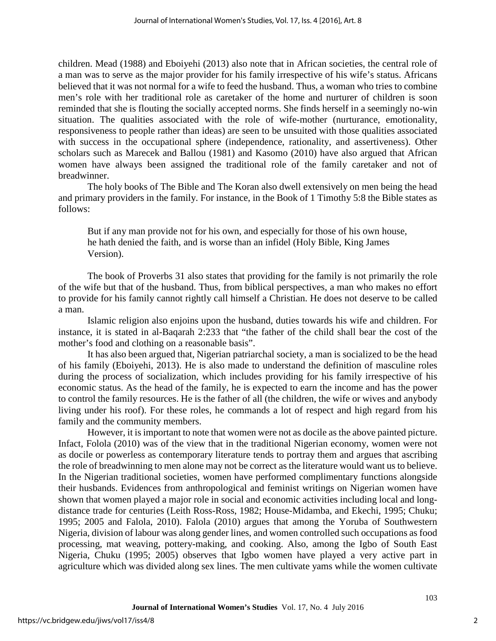children. Mead (1988) and Eboiyehi (2013) also note that in African societies, the central role of a man was to serve as the major provider for his family irrespective of his wife's status. Africans believed that it was not normal for a wife to feed the husband. Thus, a woman who tries to combine men's role with her traditional role as caretaker of the home and nurturer of children is soon reminded that she is flouting the socially accepted norms. She finds herself in a seemingly no-win situation. The qualities associated with the role of wife-mother (nurturance, emotionality, responsiveness to people rather than ideas) are seen to be unsuited with those qualities associated with success in the occupational sphere (independence, rationality, and assertiveness). Other scholars such as Marecek and Ballou (1981) and Kasomo (2010) have also argued that African women have always been assigned the traditional role of the family caretaker and not of breadwinner.

The holy books of The Bible and The Koran also dwell extensively on men being the head and primary providers in the family. For instance, in the Book of 1 Timothy 5:8 the Bible states as follows:

But if any man provide not for his own, and especially for those of his own house, he hath denied the faith, and is worse than an infidel (Holy Bible, King James Version).

The book of Proverbs 31 also states that providing for the family is not primarily the role of the wife but that of the husband. Thus, from biblical perspectives, a man who makes no effort to provide for his family cannot rightly call himself a Christian. He does not deserve to be called a man.

Islamic religion also enjoins upon the husband, duties towards his wife and children. For instance, it is stated in al-Baqarah 2:233 that "the father of the child shall bear the cost of the mother's food and clothing on a reasonable basis".

It has also been argued that, Nigerian patriarchal society, a man is socialized to be the head of his family (Eboiyehi, 2013). He is also made to understand the definition of masculine roles during the process of socialization, which includes providing for his family irrespective of his economic status. As the head of the family, he is expected to earn the income and has the power to control the family resources. He is the father of all (the children, the wife or wives and anybody living under his roof). For these roles, he commands a lot of respect and high regard from his family and the community members.

However, it is important to note that women were not as docile as the above painted picture. Infact, Folola (2010) was of the view that in the traditional Nigerian economy, women were not as docile or powerless as contemporary literature tends to portray them and argues that ascribing the role of breadwinning to men alone may not be correct as the literature would want us to believe. In the Nigerian traditional societies, women have performed complimentary functions alongside their husbands. Evidences from anthropological and feminist writings on Nigerian women have shown that women played a major role in social and economic activities including local and longdistance trade for centuries (Leith Ross-Ross, 1982; House-Midamba, and Ekechi, 1995; Chuku; 1995; 2005 and Falola, 2010). Falola (2010) argues that among the Yoruba of Southwestern Nigeria, division of labour was along gender lines, and women controlled such occupations as food processing, mat weaving, pottery-making, and cooking. Also, among the Igbo of South East Nigeria, Chuku (1995; 2005) observes that Igbo women have played a very active part in agriculture which was divided along sex lines. The men cultivate yams while the women cultivate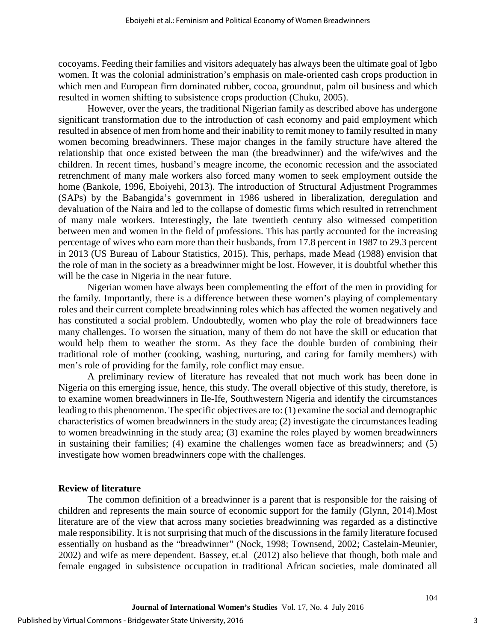cocoyams. Feeding their families and visitors adequately has always been the ultimate goal of Igbo women. It was the colonial administration's emphasis on male-oriented cash crops production in which men and European firm dominated rubber, cocoa, groundnut, palm oil business and which resulted in women shifting to subsistence crops production (Chuku, 2005).

However, over the years, the traditional Nigerian family as described above has undergone significant transformation due to the introduction of cash economy and paid employment which resulted in absence of men from home and their inability to remit money to family resulted in many women becoming breadwinners. These major changes in the family structure have altered the relationship that once existed between the man (the breadwinner) and the wife/wives and the children. In recent times, husband's meagre income, the economic recession and the associated retrenchment of many male workers also forced many women to seek employment outside the home (Bankole, 1996, Eboiyehi, 2013). The introduction of Structural Adjustment Programmes (SAPs) by the Babangida's government in 1986 ushered in liberalization, deregulation and devaluation of the Naira and led to the collapse of domestic firms which resulted in retrenchment of many male workers. Interestingly, the late twentieth century also witnessed competition between men and women in the field of professions. This has partly accounted for the increasing percentage of wives who earn more than their husbands, from 17.8 percent in 1987 to 29.3 percent in 2013 (US Bureau of Labour Statistics, 2015). This, perhaps, made Mead (1988) envision that the role of man in the society as a breadwinner might be lost. However, it is doubtful whether this will be the case in Nigeria in the near future.

Nigerian women have always been complementing the effort of the men in providing for the family. Importantly, there is a difference between these women's playing of complementary roles and their current complete breadwinning roles which has affected the women negatively and has constituted a social problem. Undoubtedly, women who play the role of breadwinners face many challenges. To worsen the situation, many of them do not have the skill or education that would help them to weather the storm. As they face the double burden of combining their traditional role of mother (cooking, washing, nurturing, and caring for family members) with men's role of providing for the family, role conflict may ensue.

A preliminary review of literature has revealed that not much work has been done in Nigeria on this emerging issue, hence, this study. The overall objective of this study, therefore, is to examine women breadwinners in Ile-Ife, Southwestern Nigeria and identify the circumstances leading to this phenomenon. The specific objectives are to: (1) examine the social and demographic characteristics of women breadwinners in the study area; (2) investigate the circumstances leading to women breadwinning in the study area; (3) examine the roles played by women breadwinners in sustaining their families; (4) examine the challenges women face as breadwinners; and (5) investigate how women breadwinners cope with the challenges.

#### **Review of literature**

The common definition of a [breadwinner](http://www.jstor.org/discover/10.2307/3174585?uid=3739256&uid=2129&uid=2&uid=70&uid=4&sid=21101318693023) is a parent that is responsible for the raising of children and represents the main source of economic support for the family (Glynn, 2014).Most literature are of the view that across many societies breadwinning was regarded as a distinctive male responsibility. It is not surprising that much of the discussions in the family literature focused essentially on husband as the "breadwinner" (Nock, 1998; Townsend, 2002; Castelain-Meunier, 2002) and wife as mere dependent. Bassey, et.al (2012) also believe that though, both male and female engaged in subsistence occupation in traditional African societies, male dominated all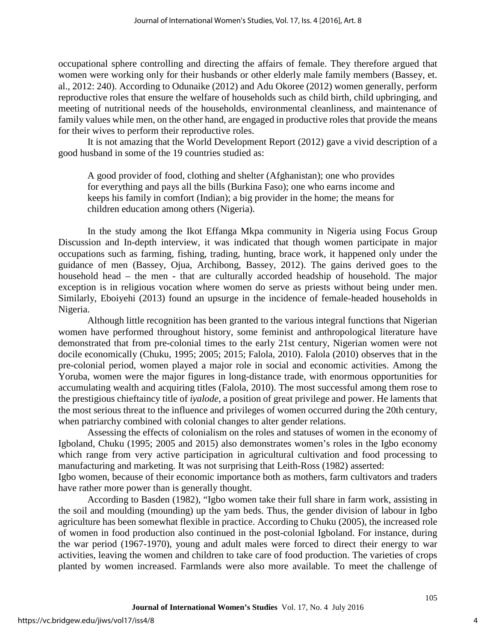occupational sphere controlling and directing the affairs of female. They therefore argued that women were working only for their husbands or other elderly male family members (Bassey, et. al., 2012: 240). According to Odunaike (2012) and Adu Okoree (2012) women generally, perform reproductive roles that ensure the welfare of households such as child birth, child upbringing, and meeting of nutritional needs of the households, environmental cleanliness, and maintenance of family values while men, on the other hand, are engaged in productive roles that provide the means for their wives to perform their reproductive roles.

It is not amazing that the World Development Report (2012) gave a vivid description of a good husband in some of the 19 countries studied as:

A good provider of food, clothing and shelter (Afghanistan); one who provides for everything and pays all the bills (Burkina Faso); one who earns income and keeps his family in comfort (Indian); a big provider in the home; the means for children education among others (Nigeria).

In the study among the Ikot Effanga Mkpa community in Nigeria using Focus Group Discussion and In-depth interview, it was indicated that though women participate in major occupations such as farming, fishing, trading, hunting, brace work, it happened only under the guidance of men (Bassey, Ojua, Archibong, Bassey, 2012). The gains derived goes to the household head – the men - that are culturally accorded headship of household. The major exception is in religious vocation where women do serve as priests without being under men. Similarly, Eboiyehi (2013) found an upsurge in the incidence of female-headed households in Nigeria.

Although little recognition has been granted to the various integral functions that Nigerian women have performed throughout history, some feminist and anthropological literature have demonstrated that from pre-colonial times to the early 21st century, [Nigerian](http://www.britannica.com/place/Nigeria) women were not docile economically (Chuku, 1995; 2005; 2015; Falola, 2010). Falola (2010) observes that in the pre-colonial period, women played a major role in social and economic activities. Among the [Yoruba,](http://www.britannica.com/topic/Yoruba) women were the major figures in long-distance trade, with enormous opportunities for accumulating wealth and acquiring titles (Falola, 2010). The most successful among them rose to the prestigious chieftaincy title of *iyalode*, a position of great privilege and power. He laments that the most serious threat to the influence and privileges of women occurred during the 20th century, when patriarchy combined with colonial changes to alter gender relations.

Assessing the effects of colonialism on the roles and statuses of women in the economy of Igboland, Chuku (1995; 2005 and 2015) also demonstrates women's roles in the Igbo economy which range from very active participation in agricultural cultivation and food processing to manufacturing and marketing. It was not surprising that Leith-Ross (1982) asserted:

Igbo women, because of their economic importance both as mothers, farm cultivators and traders have rather more power than is generally thought.

According to Basden (1982), "Igbo women take their full share in farm work, assisting in the soil and moulding (mounding) up the yam beds. Thus, the gender division of labour in Igbo agriculture has been somewhat flexible in practice. According to Chuku (2005), the increased role of women in food production also continued in the post-colonial Igboland. For instance, during the war period (1967-1970), young and adult males were forced to direct their energy to war activities, leaving the women and children to take care of food production. The varieties of crops planted by women increased. Farmlands were also more available. To meet the challenge of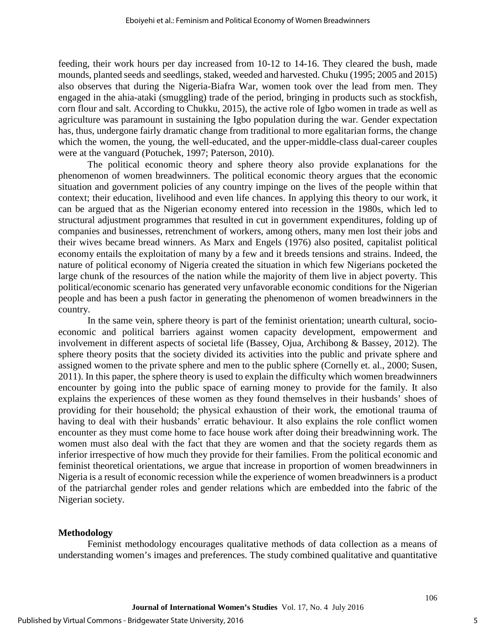feeding, their work hours per day increased from 10-12 to 14-16. They cleared the bush, made mounds, planted seeds and seedlings, staked, weeded and harvested. Chuku (1995; 2005 and 2015) also observes that during the Nigeria-Biafra War, women took over the lead from men. They engaged in the ahia-ataki (smuggling) trade of the period, bringing in products such as stockfish, corn flour and salt. According to Chukku, 2015), the active role of Igbo women in trade as well as agriculture was paramount in sustaining the Igbo population during the war. Gender expectation has, thus, undergone fairly dramatic change from traditional to more egalitarian forms, the change which the women, the young, the well-educated, and the upper-middle-class dual-career couples were at the vanguard (Potuchek, 1997; Paterson, 2010).

The political economic theory and sphere theory also provide explanations for the phenomenon of women breadwinners. The political economic theory argues that the economic situation and government policies of any country impinge on the lives of the people within that context; their education, livelihood and even life chances. In applying this theory to our work, it can be argued that as the Nigerian economy entered into recession in the 1980s, which led to structural adjustment programmes that resulted in cut in government expenditures, folding up of companies and businesses, retrenchment of workers, among others, many men lost their jobs and their wives became bread winners. As Marx and Engels (1976) also posited, capitalist political economy entails the exploitation of many by a few and it breeds tensions and strains. Indeed, the nature of political economy of Nigeria created the situation in which few Nigerians pocketed the large chunk of the resources of the nation while the majority of them live in abject poverty. This political/economic scenario has generated very unfavorable economic conditions for the Nigerian people and has been a push factor in generating the phenomenon of women breadwinners in the country.

In the same vein, sphere theory is part of the feminist orientation; unearth cultural, socioeconomic and political barriers against women capacity development, empowerment and involvement in different aspects of societal life (Bassey, Ojua, Archibong & Bassey, 2012). The sphere theory posits that the society divided its activities into the public and private sphere and assigned women to the private sphere and men to the public sphere (Cornelly et. al., 2000; Susen, 2011). In this paper, the sphere theory is used to explain the difficulty which women breadwinners encounter by going into the public space of earning money to provide for the family. It also explains the experiences of these women as they found themselves in their husbands' shoes of providing for their household; the physical exhaustion of their work, the emotional trauma of having to deal with their husbands' erratic behaviour. It also explains the role conflict women encounter as they must come home to face house work after doing their breadwinning work. The women must also deal with the fact that they are women and that the society regards them as inferior irrespective of how much they provide for their families. From the political economic and feminist theoretical orientations, we argue that increase in proportion of women breadwinners in Nigeria is a result of economic recession while the experience of women breadwinners is a product of the patriarchal gender roles and gender relations which are embedded into the fabric of the Nigerian society.

#### **Methodology**

Feminist methodology encourages qualitative methods of data collection as a means of understanding women's images and preferences. The study combined qualitative and quantitative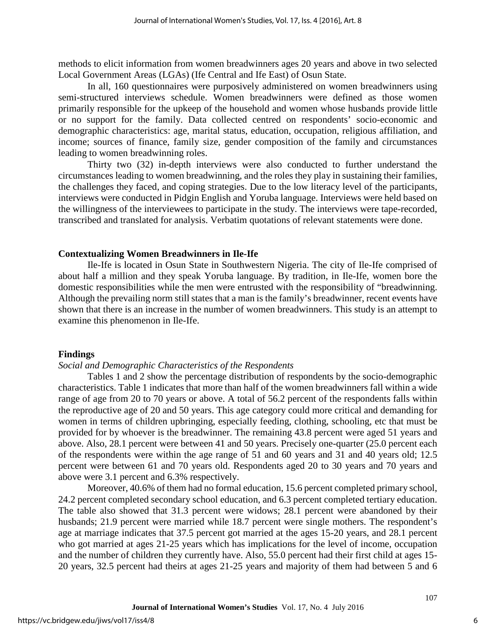methods to elicit information from women breadwinners ages 20 years and above in two selected Local Government Areas (LGAs) (Ife Central and Ife East) of Osun State.

In all, 160 questionnaires were purposively administered on women breadwinners using semi-structured interviews schedule. Women breadwinners were defined as those women primarily responsible for the upkeep of the household and women whose husbands provide little or no support for the family. Data collected centred on respondents' socio-economic and demographic characteristics: age, marital status, education, occupation, religious affiliation, and income; sources of finance, family size, gender composition of the family and circumstances leading to women breadwinning roles.

Thirty two (32) in-depth interviews were also conducted to further understand the circumstances leading to women breadwinning, and the roles they play in sustaining their families, the challenges they faced, and coping strategies. Due to the low literacy level of the participants, interviews were conducted in Pidgin English and Yoruba language. Interviews were held based on the willingness of the interviewees to participate in the study. The interviews were tape-recorded, transcribed and translated for analysis. Verbatim quotations of relevant statements were done.

#### **Contextualizing Women Breadwinners in Ile-Ife**

Ile-Ife is located in Osun State in Southwestern Nigeria. The city of Ile-Ife comprised of about half a million and they speak Yoruba language. By tradition, in Ile-Ife, women bore the domestic responsibilities while the men were entrusted with the responsibility of "breadwinning. Although the prevailing norm still states that a man is the family's breadwinner, recent events have shown that there is an increase in the number of women breadwinners. This study is an attempt to examine this phenomenon in Ile-Ife.

#### **Findings**

#### *Social and Demographic Characteristics of the Respondents*

Tables 1 and 2 show the percentage distribution of respondents by the socio-demographic characteristics. Table 1 indicates that more than half of the women breadwinners fall within a wide range of age from 20 to 70 years or above. A total of 56.2 percent of the respondents falls within the reproductive age of 20 and 50 years. This age category could more critical and demanding for women in terms of children upbringing, especially feeding, clothing, schooling, etc that must be provided for by whoever is the breadwinner. The remaining 43.8 percent were aged 51 years and above. Also, 28.1 percent were between 41 and 50 years. Precisely one-quarter (25.0 percent each of the respondents were within the age range of 51 and 60 years and 31 and 40 years old; 12.5 percent were between 61 and 70 years old. Respondents aged 20 to 30 years and 70 years and above were 3.1 percent and 6.3% respectively.

Moreover, 40.6% of them had no formal education, 15.6 percent completed primary school, 24.2 percent completed secondary school education, and 6.3 percent completed tertiary education. The table also showed that 31.3 percent were widows; 28.1 percent were abandoned by their husbands; 21.9 percent were married while 18.7 percent were single mothers. The respondent's age at marriage indicates that 37.5 percent got married at the ages 15-20 years, and 28.1 percent who got married at ages 21-25 years which has implications for the level of income, occupation and the number of children they currently have. Also, 55.0 percent had their first child at ages 15- 20 years, 32.5 percent had theirs at ages 21-25 years and majority of them had between 5 and 6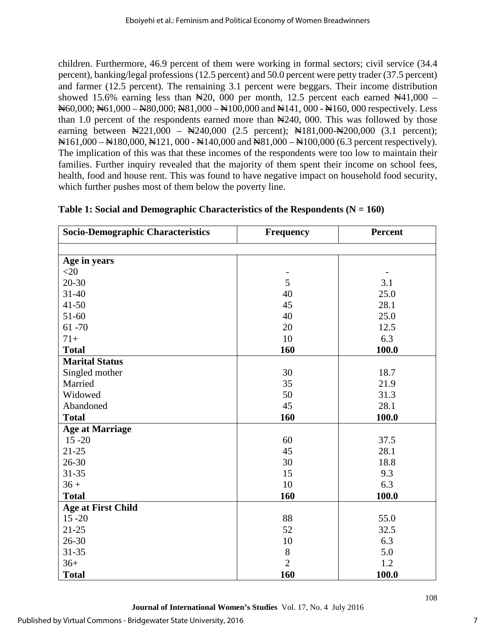children. Furthermore, 46.9 percent of them were working in formal sectors; civil service (34.4 percent), banking/legal professions (12.5 percent) and 50.0 percent were petty trader (37.5 percent) and farmer (12.5 percent). The remaining 3.1 percent were beggars. Their income distribution showed 15.6% earning less than  $\yen$ 20, 000 per month, 12.5 percent each earned  $\yen$ 41,000 – ₦60,000; ₦61,000 – N80,000; N81,000 – ₦100,000 and ₦141, 000 - ₦160, 000 respectively. Less than 1.0 percent of the respondents earned more than  $\frac{1240}{100}$ , 000. This was followed by those earning between \\$221,000 – \\$240,000 (2.5 percent); \\$181,000-\\$200,000 (3.1 percent); ₦161,000 – ₦180,000, ₦121, 000 - ₦140,000 and ₦81,000 – ₦100,000 (6.3 percent respectively). The implication of this was that these incomes of the respondents were too low to maintain their families. Further inquiry revealed that the majority of them spent their income on school fees, health, food and house rent. This was found to have negative impact on household food security, which further pushes most of them below the poverty line.

| <b>Socio-Demographic Characteristics</b><br><b>Frequency</b> |                | Percent |  |
|--------------------------------------------------------------|----------------|---------|--|
|                                                              |                |         |  |
| Age in years                                                 |                |         |  |
| $<$ 20                                                       |                |         |  |
| 20-30                                                        | 5              | 3.1     |  |
| $31 - 40$                                                    | 40             | 25.0    |  |
| $41 - 50$                                                    | 45             | 28.1    |  |
| 51-60                                                        | 40             | 25.0    |  |
| $61 - 70$                                                    | 20             | 12.5    |  |
| $71+$                                                        | 10<br>6.3      |         |  |
| <b>Total</b>                                                 | 160            | 100.0   |  |
| <b>Marital Status</b>                                        |                |         |  |
| Singled mother                                               | 30             | 18.7    |  |
| Married                                                      | 35             | 21.9    |  |
| Widowed                                                      | 50             | 31.3    |  |
| Abandoned                                                    | 45             | 28.1    |  |
| <b>Total</b>                                                 | 160            | 100.0   |  |
| <b>Age at Marriage</b>                                       |                |         |  |
| $15 - 20$                                                    | 60             | 37.5    |  |
| $21 - 25$                                                    | 45             | 28.1    |  |
| $26 - 30$                                                    | 30<br>18.8     |         |  |
| $31 - 35$                                                    | 15             | 9.3     |  |
| $36 +$                                                       | 10             | 6.3     |  |
| <b>Total</b>                                                 | 160            | 100.0   |  |
| <b>Age at First Child</b>                                    |                |         |  |
| $15 - 20$                                                    | 88             | 55.0    |  |
| $21 - 25$                                                    | 52<br>32.5     |         |  |
| 26-30                                                        | 10             | 6.3     |  |
| $31 - 35$                                                    | $8\,$          | 5.0     |  |
| $36+$                                                        | $\overline{2}$ | 1.2     |  |
| <b>Total</b>                                                 | 160            | 100.0   |  |

### **Table 1: Social and Demographic Characteristics of the Respondents (N = 160)**

**Journal of International Women's Studies** Vol. 17, No. 4 July 2016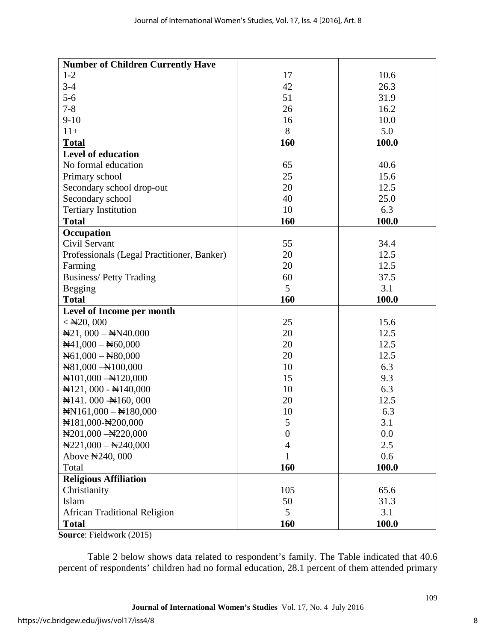| <b>Number of Children Currently Have</b>            |          |              |  |
|-----------------------------------------------------|----------|--------------|--|
| $1-2$                                               | 17       | 10.6         |  |
| $3-4$                                               | 42       | 26.3         |  |
| $5 - 6$                                             | 51       | 31.9         |  |
| $7 - 8$                                             | 26       | 16.2         |  |
| $9 - 10$                                            | 16       | 10.0         |  |
| $11+$                                               | 8        | 5.0          |  |
| <b>Total</b>                                        | 160      | 100.0        |  |
| <b>Level of education</b>                           |          |              |  |
| No formal education                                 | 65       | 40.6         |  |
| Primary school                                      | 25       | 15.6         |  |
| Secondary school drop-out                           | 20       | 12.5         |  |
| Secondary school                                    | 40       | 25.0         |  |
| <b>Tertiary Institution</b>                         | 10       | 6.3          |  |
| <b>Total</b>                                        | 160      | 100.0        |  |
| Occupation                                          |          |              |  |
| Civil Servant                                       | 55       | 34.4         |  |
| Professionals (Legal Practitioner, Banker)          | 20       | 12.5         |  |
| Farming                                             | 20       | 12.5         |  |
| <b>Business/Petty Trading</b>                       | 60       | 37.5         |  |
| Begging                                             | 5        | 3.1          |  |
| <b>Total</b>                                        | 160      | 100.0        |  |
| Level of Income per month                           |          |              |  |
|                                                     |          |              |  |
| $<$ $\text{H}20,000$                                | 25       | 15.6         |  |
| $\mathbb{H}21$ , 000 - $\mathbb{H}N40.000$          | 20       | 12.5         |  |
| $\mathbb{N}41,000 - \mathbb{N}60,000$               | 20       | 12.5         |  |
| $\text{N}61,000 - \text{N}80,000$                   | 20       | 12.5         |  |
| $\text{N}81,000 - \text{N}100,000$                  | 10       | 6.3          |  |
| $\text{H}101,000 - \text{H}120,000$                 | 15       | 9.3          |  |
| $\mathbb{H}121,000 - \mathbb{H}140,000$             | 10       | 6.3          |  |
| $\mathbb{N}141.000 - \mathbb{N}160,000$             | 20       | 12.5         |  |
| $\text{NN}161,000 - \text{N}180,000$                | 10       | 6.3          |  |
| N181,000-N200,000                                   | C        | 3.1          |  |
| $\text{H}201,000 - \text{H}220,000$                 | 0        | 0.0          |  |
| $\text{N}221,000 - \text{N}240,000$                 | 4        | 2.5          |  |
| Above #240, 000                                     | 1        | 0.6          |  |
| Total                                               | 160      | 100.0        |  |
| <b>Religious Affiliation</b>                        |          |              |  |
| Christianity                                        | 105      | 65.6         |  |
| Islam                                               | 50       | 31.3         |  |
| <b>African Traditional Religion</b><br><b>Total</b> | 5<br>160 | 3.1<br>100.0 |  |

**Source**: Fieldwork (2015)

Table 2 below shows data related to respondent's family. The Table indicated that 40.6 percent of respondents' children had no formal education, 28.1 percent of them attended primary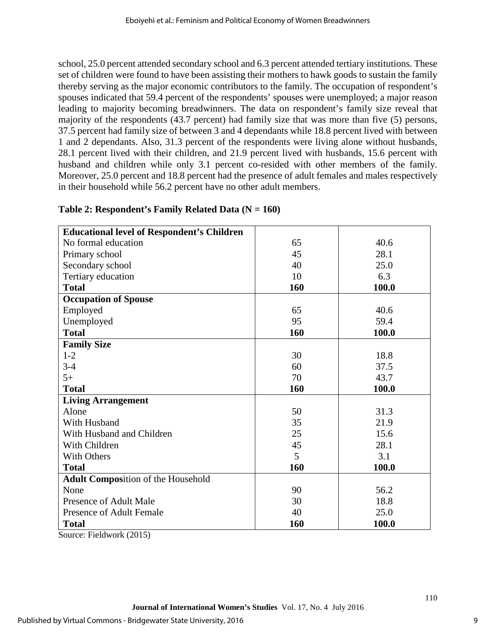school, 25.0 percent attended secondary school and 6.3 percent attended tertiary institutions. These set of children were found to have been assisting their mothers to hawk goods to sustain the family thereby serving as the major economic contributors to the family. The occupation of respondent's spouses indicated that 59.4 percent of the respondents' spouses were unemployed; a major reason leading to majority becoming breadwinners. The data on respondent's family size reveal that majority of the respondents (43.7 percent) had family size that was more than five (5) persons, 37.5 percent had family size of between 3 and 4 dependants while 18.8 percent lived with between 1 and 2 dependants. Also, 31.3 percent of the respondents were living alone without husbands, 28.1 percent lived with their children, and 21.9 percent lived with husbands, 15.6 percent with husband and children while only 3.1 percent co-resided with other members of the family. Moreover, 25.0 percent and 18.8 percent had the presence of adult females and males respectively in their household while 56.2 percent have no other adult members.

| <b>Educational level of Respondent's Children</b> |     |       |
|---------------------------------------------------|-----|-------|
|                                                   |     |       |
| No formal education                               | 65  | 40.6  |
| Primary school                                    | 45  | 28.1  |
| Secondary school                                  | 40  | 25.0  |
| Tertiary education                                | 10  | 6.3   |
| <b>Total</b>                                      | 160 | 100.0 |
| <b>Occupation of Spouse</b>                       |     |       |
| Employed                                          | 65  | 40.6  |
| Unemployed                                        | 95  | 59.4  |
| <b>Total</b>                                      | 160 | 100.0 |
| <b>Family Size</b>                                |     |       |
| $1-2$                                             | 30  | 18.8  |
| $3 - 4$                                           | 60  | 37.5  |
| $5+$                                              | 70  | 43.7  |
| <b>Total</b>                                      | 160 | 100.0 |
| <b>Living Arrangement</b>                         |     |       |
| Alone                                             | 50  | 31.3  |
| With Husband                                      | 35  | 21.9  |
| With Husband and Children                         | 25  | 15.6  |
| With Children                                     | 45  | 28.1  |
| <b>With Others</b>                                | 5   | 3.1   |
| <b>Total</b>                                      | 160 | 100.0 |
| <b>Adult Composition of the Household</b>         |     |       |
| None                                              | 90  | 56.2  |
| Presence of Adult Male                            | 30  | 18.8  |
| <b>Presence of Adult Female</b>                   | 40  | 25.0  |
| <b>Total</b>                                      | 160 | 100.0 |

### **Table 2: Respondent's Family Related Data (N = 160)**

Source: Fieldwork (2015)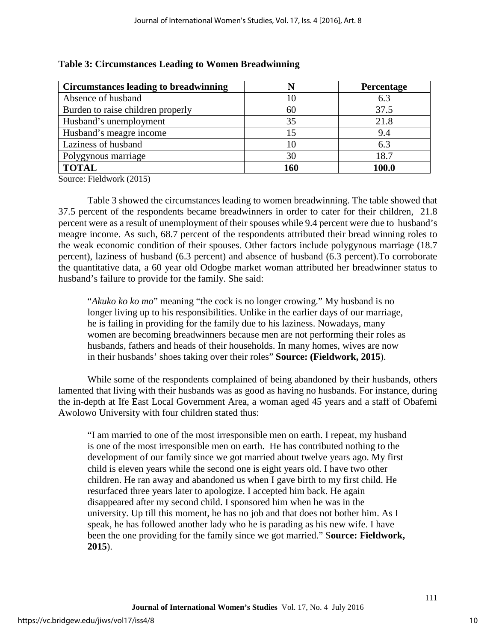| <b>Circumstances leading to breadwinning</b> |     | <b>Percentage</b> |
|----------------------------------------------|-----|-------------------|
| Absence of husband                           | 10  | 6.3               |
| Burden to raise children properly            | 60  | 37.5              |
| Husband's unemployment                       | 35  | 21.8              |
| Husband's meagre income                      |     | 9.4               |
| Laziness of husband                          | 10  | 6.3               |
| Polygynous marriage                          | 30  | 18.7              |
| <b>TOTAL</b>                                 | 160 | 100.0             |

#### **Table 3: Circumstances Leading to Women Breadwinning**

Source: Fieldwork (2015)

Table 3 showed the circumstances leading to women breadwinning. The table showed that 37.5 percent of the respondents became breadwinners in order to cater for their children, 21.8 percent were as a result of unemployment of their spouses while 9.4 percent were due to husband's meagre income. As such, 68.7 percent of the respondents attributed their bread winning roles to the weak economic condition of their spouses. Other factors include polygynous marriage (18.7 percent), laziness of husband (6.3 percent) and absence of husband (6.3 percent).To corroborate the quantitative data, a 60 year old Odogbe market woman attributed her breadwinner status to husband's failure to provide for the family. She said:

"*Akuko ko ko mo*" meaning "the cock is no longer crowing." My husband is no longer living up to his responsibilities. Unlike in the earlier days of our marriage, he is failing in providing for the family due to his laziness. Nowadays, many women are becoming breadwinners because men are not performing their roles as husbands, fathers and heads of their households. In many homes, wives are now in their husbands' shoes taking over their roles" **Source: (Fieldwork, 2015**).

While some of the respondents complained of being abandoned by their husbands, others lamented that living with their husbands was as good as having no husbands. For instance, during the in-depth at Ife East Local Government Area, a woman aged 45 years and a staff of Obafemi Awolowo University with four children stated thus:

"I am married to one of the most irresponsible men on earth. I repeat, my husband is one of the most irresponsible men on earth. He has contributed nothing to the development of our family since we got married about twelve years ago. My first child is eleven years while the second one is eight years old. I have two other children. He ran away and abandoned us when I gave birth to my first child. He resurfaced three years later to apologize. I accepted him back. He again disappeared after my second child. I sponsored him when he was in the university. Up till this moment, he has no job and that does not bother him. As I speak, he has followed another lady who he is parading as his new wife. I have been the one providing for the family since we got married." S**ource: Fieldwork, 2015**).

10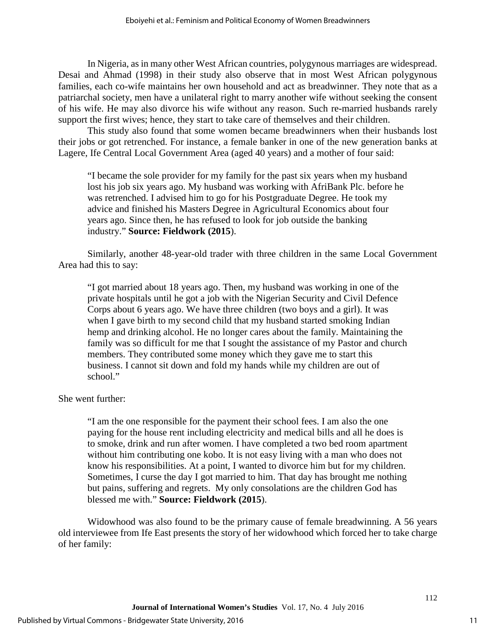In Nigeria, as in many other West African countries, polygynous marriages are widespread. Desai and Ahmad (1998) in their study also observe that in most West African polygynous families, each co-wife maintains her own household and act as breadwinner. They note that as a patriarchal society, men have a unilateral right to marry another wife without seeking the consent of his wife. He may also divorce his wife without any reason. Such re-married husbands rarely support the first wives; hence, they start to take care of themselves and their children.

This study also found that some women became breadwinners when their husbands lost their jobs or got retrenched. For instance, a female banker in one of the new generation banks at Lagere, Ife Central Local Government Area (aged 40 years) and a mother of four said:

"I became the sole provider for my family for the past six years when my husband lost his job six years ago. My husband was working with AfriBank Plc. before he was retrenched. I advised him to go for his Postgraduate Degree. He took my advice and finished his Masters Degree in Agricultural Economics about four years ago. Since then, he has refused to look for job outside the banking industry." **Source: Fieldwork (2015**).

Similarly, another 48-year-old trader with three children in the same Local Government Area had this to say:

"I got married about 18 years ago. Then, my husband was working in one of the private hospitals until he got a job with the Nigerian Security and Civil Defence Corps about 6 years ago. We have three children (two boys and a girl). It was when I gave birth to my second child that my husband started smoking Indian hemp and drinking alcohol. He no longer cares about the family. Maintaining the family was so difficult for me that I sought the assistance of my Pastor and church members. They contributed some money which they gave me to start this business. I cannot sit down and fold my hands while my children are out of school."

#### She went further:

"I am the one responsible for the payment their school fees. I am also the one paying for the house rent including electricity and medical bills and all he does is to smoke, drink and run after women. I have completed a two bed room apartment without him contributing one kobo. It is not easy living with a man who does not know his responsibilities. At a point, I wanted to divorce him but for my children. Sometimes, I curse the day I got married to him. That day has brought me nothing but pains, suffering and regrets. My only consolations are the children God has blessed me with." **Source: Fieldwork (2015**).

Widowhood was also found to be the primary cause of female breadwinning. A 56 years old interviewee from Ife East presents the story of her widowhood which forced her to take charge of her family: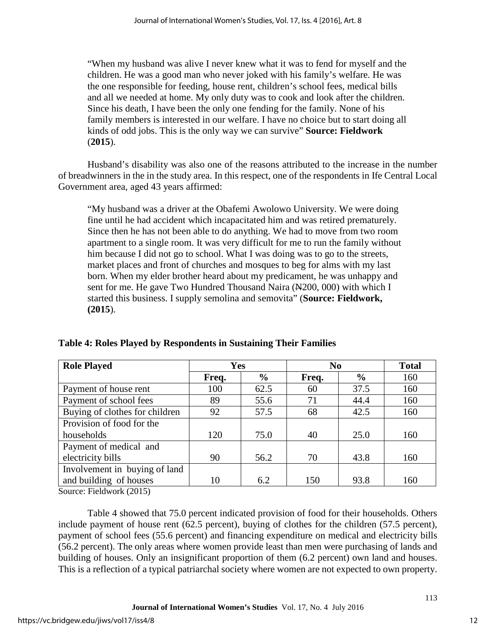"When my husband was alive I never knew what it was to fend for myself and the children. He was a good man who never joked with his family's welfare. He was the one responsible for feeding, house rent, children's school fees, medical bills and all we needed at home. My only duty was to cook and look after the children. Since his death, I have been the only one fending for the family. None of his family members is interested in our welfare. I have no choice but to start doing all kinds of odd jobs. This is the only way we can survive" **Source: Fieldwork**  (**2015**).

Husband's disability was also one of the reasons attributed to the increase in the number of breadwinners in the in the study area. In this respect, one of the respondents in Ife Central Local Government area, aged 43 years affirmed:

"My husband was a driver at the Obafemi Awolowo University. We were doing fine until he had accident which incapacitated him and was retired prematurely. Since then he has not been able to do anything. We had to move from two room apartment to a single room. It was very difficult for me to run the family without him because I did not go to school. What I was doing was to go to the streets, market places and front of churches and mosques to beg for alms with my last born. When my elder brother heard about my predicament, he was unhappy and sent for me. He gave Two Hundred Thousand Naira (N200, 000) with which I started this business. I supply semolina and semovita" (**Source: Fieldwork, (2015**).

| <b>Role Played</b>             | Yes   |               | N <sub>0</sub> |               | <b>Total</b> |
|--------------------------------|-------|---------------|----------------|---------------|--------------|
|                                | Freq. | $\frac{6}{9}$ | Freq.          | $\frac{6}{9}$ | 160          |
| Payment of house rent          | 100   | 62.5          | 60             | 37.5          | 160          |
| Payment of school fees         | 89    | 55.6          | 71             | 44.4          | 160          |
| Buying of clothes for children | 92    | 57.5          | 68             | 42.5          | 160          |
| Provision of food for the      |       |               |                |               |              |
| households                     | 120   | 75.0          | 40             | 25.0          | 160          |
| Payment of medical and         |       |               |                |               |              |
| electricity bills              | 90    | 56.2          | 70             | 43.8          | 160          |
| Involvement in buying of land  |       |               |                |               |              |
| and building of houses         | 10    | 6.2           | 150            | 93.8          | 160          |

**Table 4: Roles Played by Respondents in Sustaining Their Families**

Source: Fieldwork (2015)

Table 4 showed that 75.0 percent indicated provision of food for their households. Others include payment of house rent (62.5 percent), buying of clothes for the children (57.5 percent), payment of school fees (55.6 percent) and financing expenditure on medical and electricity bills (56.2 percent). The only areas where women provide least than men were purchasing of lands and building of houses. Only an insignificant proportion of them (6.2 percent) own land and houses. This is a reflection of a typical patriarchal society where women are not expected to own property.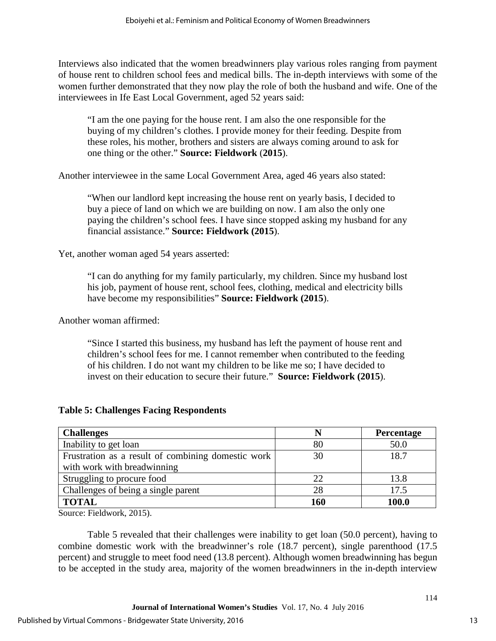Interviews also indicated that the women breadwinners play various roles ranging from payment of house rent to children school fees and medical bills. The in-depth interviews with some of the women further demonstrated that they now play the role of both the husband and wife. One of the interviewees in Ife East Local Government, aged 52 years said:

"I am the one paying for the house rent. I am also the one responsible for the buying of my children's clothes. I provide money for their feeding. Despite from these roles, his mother, brothers and sisters are always coming around to ask for one thing or the other." **Source: Fieldwork** (**2015**).

Another interviewee in the same Local Government Area, aged 46 years also stated:

"When our landlord kept increasing the house rent on yearly basis, I decided to buy a piece of land on which we are building on now. I am also the only one paying the children's school fees. I have since stopped asking my husband for any financial assistance." **Source: Fieldwork (2015**).

Yet, another woman aged 54 years asserted:

"I can do anything for my family particularly, my children. Since my husband lost his job, payment of house rent, school fees, clothing, medical and electricity bills have become my responsibilities" **Source: Fieldwork (2015**).

Another woman affirmed:

"Since I started this business, my husband has left the payment of house rent and children's school fees for me. I cannot remember when contributed to the feeding of his children. I do not want my children to be like me so; I have decided to invest on their education to secure their future." **Source: Fieldwork (2015**).

| <b>Table 5: Challenges Facing Respondents</b> |  |  |
|-----------------------------------------------|--|--|
|-----------------------------------------------|--|--|

| <b>Challenges</b>                                  |     | <b>Percentage</b> |
|----------------------------------------------------|-----|-------------------|
| Inability to get loan                              | 80  | 50.0              |
| Frustration as a result of combining domestic work | 30  | 18.7              |
| with work with breadwinning                        |     |                   |
| Struggling to procure food                         | 22  | 13.8              |
| Challenges of being a single parent                | 28  | 17.5              |
| <b>TOTAL</b>                                       | 160 | 100.0             |

Source: Fieldwork, 2015).

Table 5 revealed that their challenges were inability to get loan (50.0 percent), having to combine domestic work with the breadwinner's role (18.7 percent), single parenthood (17.5 percent) and struggle to meet food need (13.8 percent). Although women breadwinning has begun to be accepted in the study area, majority of the women breadwinners in the in-depth interview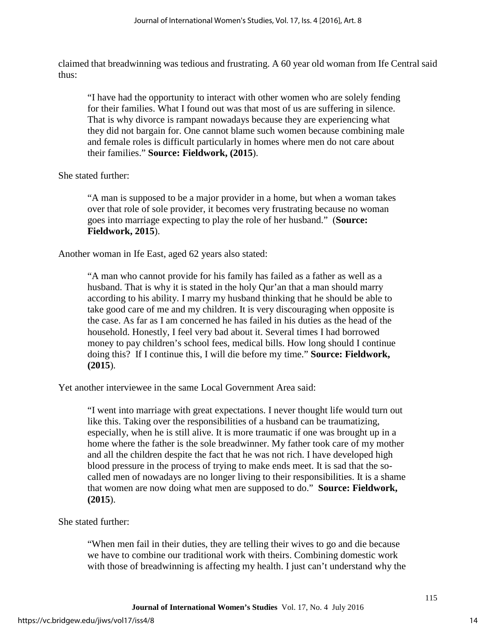claimed that breadwinning was tedious and frustrating. A 60 year old woman from Ife Central said thus:

"I have had the opportunity to interact with other women who are solely fending for their families. What I found out was that most of us are suffering in silence. That is why divorce is rampant nowadays because they are experiencing what they did not bargain for. One cannot blame such women because combining male and female roles is difficult particularly in homes where men do not care about their families." **Source: Fieldwork, (2015**).

She stated further:

"A man is supposed to be a major provider in a home, but when a woman takes over that role of sole provider, it becomes very frustrating because no woman goes into marriage expecting to play the role of her husband." (**Source: Fieldwork, 2015**).

Another woman in Ife East, aged 62 years also stated:

"A man who cannot provide for his family has failed as a father as well as a husband. That is why it is stated in the holy Qur'an that a man should marry according to his ability. I marry my husband thinking that he should be able to take good care of me and my children. It is very discouraging when opposite is the case. As far as I am concerned he has failed in his duties as the head of the household. Honestly, I feel very bad about it. Several times I had borrowed money to pay children's school fees, medical bills. How long should I continue doing this? If I continue this, I will die before my time." **Source: Fieldwork, (2015**).

Yet another interviewee in the same Local Government Area said:

"I went into marriage with great expectations. I never thought life would turn out like this. Taking over the responsibilities of a husband can be traumatizing, especially, when he is still alive. It is more traumatic if one was brought up in a home where the father is the sole breadwinner. My father took care of my mother and all the children despite the fact that he was not rich. I have developed high blood pressure in the process of trying to make ends meet. It is sad that the socalled men of nowadays are no longer living to their responsibilities. It is a shame that women are now doing what men are supposed to do." **Source: Fieldwork, (2015**).

She stated further:

"When men fail in their duties, they are telling their wives to go and die because we have to combine our traditional work with theirs. Combining domestic work with those of breadwinning is affecting my health. I just can't understand why the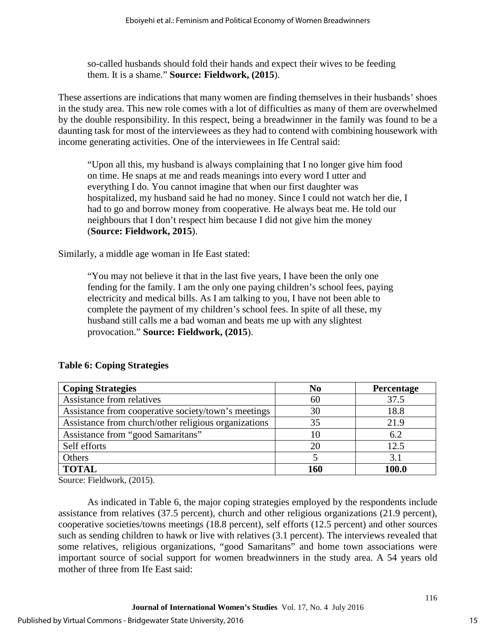so-called husbands should fold their hands and expect their wives to be feeding them. It is a shame." **Source: Fieldwork, (2015**).

These assertions are indications that many women are finding themselves in their husbands' shoes in the study area. This new role comes with a lot of difficulties as many of them are overwhelmed by the double responsibility. In this respect, being a breadwinner in the family was found to be a daunting task for most of the interviewees as they had to contend with combining housework with income generating activities. One of the interviewees in Ife Central said:

"Upon all this, my husband is always complaining that I no longer give him food on time. He snaps at me and reads meanings into every word I utter and everything I do. You cannot imagine that when our first daughter was hospitalized, my husband said he had no money. Since I could not watch her die, I had to go and borrow money from cooperative. He always beat me. He told our neighbours that I don't respect him because I did not give him the money (**Source: Fieldwork, 2015**).

Similarly, a middle age woman in Ife East stated:

"You may not believe it that in the last five years, I have been the only one fending for the family. I am the only one paying children's school fees, paying electricity and medical bills. As I am talking to you, I have not been able to complete the payment of my children's school fees. In spite of all these, my husband still calls me a bad woman and beats me up with any slightest provocation." **Source: Fieldwork, (2015**).

| <b>Coping Strategies</b>                             | N <sub>0</sub> | Percentage |
|------------------------------------------------------|----------------|------------|
| Assistance from relatives                            | 60             | 37.5       |
| Assistance from cooperative society/town's meetings  | 30             | 18.8       |
| Assistance from church/other religious organizations | 35             | 21.9       |
| Assistance from "good Samaritans"                    | 10             | 6.2        |
| Self efforts                                         | 20             | 12.5       |
| Others                                               |                | 3.1        |
| <b>TOTAL</b>                                         | 160            | 100.0      |

#### **Table 6: Coping Strategies**

Source: Fieldwork, (2015).

As indicated in Table 6, the major coping strategies employed by the respondents include assistance from relatives (37.5 percent), church and other religious organizations (21.9 percent), cooperative societies/towns meetings (18.8 percent), self efforts (12.5 percent) and other sources such as sending children to hawk or live with relatives (3.1 percent). The interviews revealed that some relatives, religious organizations, "good Samaritans" and home town associations were important source of social support for women breadwinners in the study area. A 54 years old mother of three from Ife East said: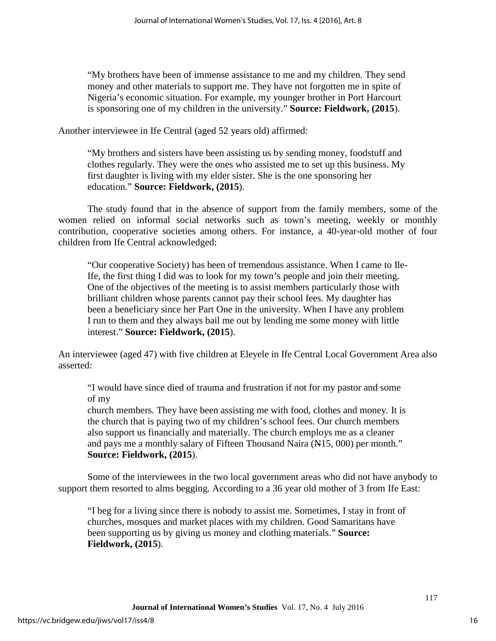"My brothers have been of immense assistance to me and my children. They send money and other materials to support me. They have not forgotten me in spite of Nigeria's economic situation. For example, my younger brother in Port Harcourt is sponsoring one of my children in the university." **Source: Fieldwork, (2015**).

Another interviewee in Ife Central (aged 52 years old) affirmed:

"My brothers and sisters have been assisting us by sending money, foodstuff and clothes regularly. They were the ones who assisted me to set up this business. My first daughter is living with my elder sister. She is the one sponsoring her education." **Source: Fieldwork, (2015**).

The study found that in the absence of support from the family members, some of the women relied on informal social networks such as town's meeting, weekly or monthly contribution, cooperative societies among others. For instance, a 40-year-old mother of four children from Ife Central acknowledged:

"Our cooperative Society) has been of tremendous assistance. When I came to Ile-Ife, the first thing I did was to look for my town's people and join their meeting. One of the objectives of the meeting is to assist members particularly those with brilliant children whose parents cannot pay their school fees. My daughter has been a beneficiary since her Part One in the university. When I have any problem I run to them and they always bail me out by lending me some money with little interest." **Source: Fieldwork, (2015**).

An interviewee (aged 47) with five children at Eleyele in Ife Central Local Government Area also asserted:

"I would have since died of trauma and frustration if not for my pastor and some of my

church members. They have been assisting me with food, clothes and money. It is the church that is paying two of my children's school fees. Our church members also support us financially and materially. The church employs me as a cleaner and pays me a monthly salary of Fifteen Thousand Naira (N15, 000) per month." **Source: Fieldwork, (2015**).

Some of the interviewees in the two local government areas who did not have anybody to support them resorted to alms begging. According to a 36 year old mother of 3 from Ife East:

"I beg for a living since there is nobody to assist me. Sometimes, I stay in front of churches, mosques and market places with my children. Good Samaritans have been supporting us by giving us money and clothing materials." **Source: Fieldwork, (2015**).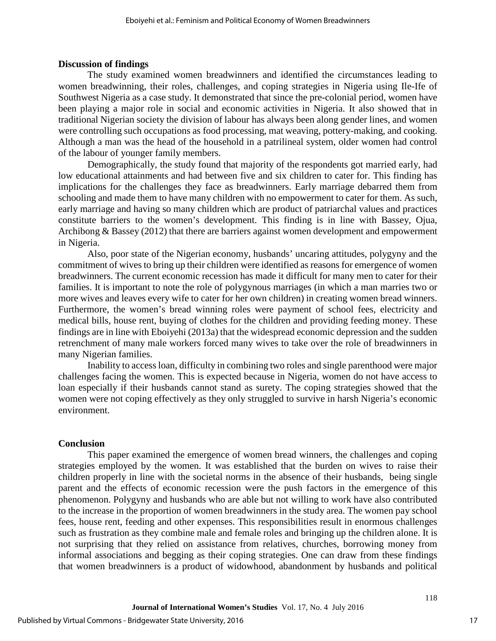#### **Discussion of findings**

The study examined women breadwinners and identified the circumstances leading to women breadwinning, their roles, challenges, and coping strategies in Nigeria using Ile-Ife of Southwest Nigeria as a case study. It demonstrated that since the pre-colonial period, women have been playing a major role in social and economic activities in Nigeria. It also showed that in traditional Nigerian society the division of labour has always been along gender lines, and women were controlling such occupations as food processing, mat weaving, pottery-making, and cooking. Although a man was the head of the household in a patrilineal system, older women had control of the labour of younger family members.

Demographically, the study found that majority of the respondents got married early, had low educational attainments and had between five and six children to cater for. This finding has implications for the challenges they face as breadwinners. Early marriage debarred them from schooling and made them to have many children with no empowerment to cater for them. As such, early marriage and having so many children which are product of patriarchal values and practices constitute barriers to the women's development. This finding is in line with Bassey, Ojua, Archibong & Bassey (2012) that there are barriers against women development and empowerment in Nigeria.

Also, poor state of the Nigerian economy, husbands' uncaring attitudes, polygyny and the commitment of wives to bring up their children were identified as reasons for emergence of women breadwinners. The current economic recession has made it difficult for many men to cater for their families. It is important to note the role of polygynous marriages (in which a man marries two or more wives and leaves every wife to cater for her own children) in creating women bread winners. Furthermore, the women's bread winning roles were payment of school fees, electricity and medical bills, house rent, buying of clothes for the children and providing feeding money. These findings are in line with Eboiyehi (2013a) that the widespread economic depression and the sudden retrenchment of many male workers forced many wives to take over the role of breadwinners in many Nigerian families.

Inability to access loan, difficulty in combining two roles and single parenthood were major challenges facing the women. This is expected because in Nigeria, women do not have access to loan especially if their husbands cannot stand as surety. The coping strategies showed that the women were not coping effectively as they only struggled to survive in harsh Nigeria's economic environment.

#### **Conclusion**

This paper examined the emergence of women bread winners, the challenges and coping strategies employed by the women. It was established that the burden on wives to raise their children properly in line with the societal norms in the absence of their husbands, being single parent and the effects of economic recession were the push factors in the emergence of this phenomenon. Polygyny and husbands who are able but not willing to work have also contributed to the increase in the proportion of women breadwinners in the study area. The women pay school fees, house rent, feeding and other expenses. This responsibilities result in enormous challenges such as frustration as they combine male and female roles and bringing up the children alone. It is not surprising that they relied on assistance from relatives, churches, borrowing money from informal associations and begging as their coping strategies. One can draw from these findings that women breadwinners is a product of widowhood, abandonment by husbands and political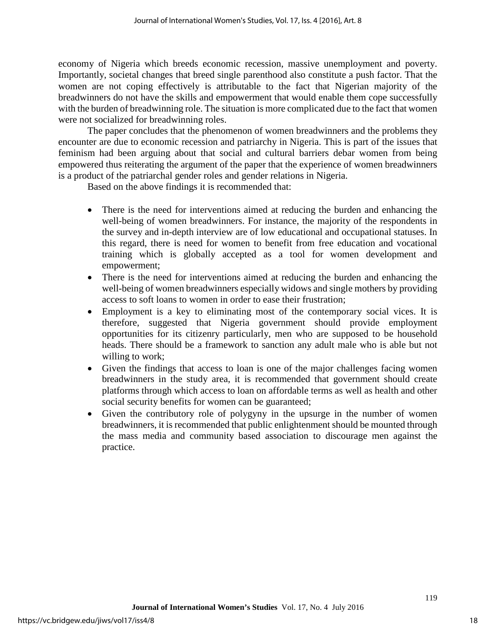economy of Nigeria which breeds economic recession, massive unemployment and poverty. Importantly, societal changes that breed single parenthood also constitute a push factor. That the women are not coping effectively is attributable to the fact that Nigerian majority of the breadwinners do not have the skills and empowerment that would enable them cope successfully with the burden of breadwinning role. The situation is more complicated due to the fact that women were not socialized for breadwinning roles.

The paper concludes that the phenomenon of women breadwinners and the problems they encounter are due to economic recession and patriarchy in Nigeria. This is part of the issues that feminism had been arguing about that social and cultural barriers debar women from being empowered thus reiterating the argument of the paper that the experience of women breadwinners is a product of the patriarchal gender roles and gender relations in Nigeria.

Based on the above findings it is recommended that:

- There is the need for interventions aimed at reducing the burden and enhancing the well-being of women breadwinners. For instance, the majority of the respondents in the survey and in-depth interview are of low educational and occupational statuses. In this regard, there is need for women to benefit from free education and vocational training which is globally accepted as a tool for women development and empowerment;
- There is the need for interventions aimed at reducing the burden and enhancing the well-being of women breadwinners especially widows and single mothers by providing access to soft loans to women in order to ease their frustration;
- Employment is a key to eliminating most of the contemporary social vices. It is therefore, suggested that Nigeria government should provide employment opportunities for its citizenry particularly, men who are supposed to be household heads. There should be a framework to sanction any adult male who is able but not willing to work;
- Given the findings that access to loan is one of the major challenges facing women breadwinners in the study area, it is recommended that government should create platforms through which access to loan on affordable terms as well as health and other social security benefits for women can be guaranteed;
- Given the contributory role of polygyny in the upsurge in the number of women breadwinners, it is recommended that public enlightenment should be mounted through the mass media and community based association to discourage men against the practice.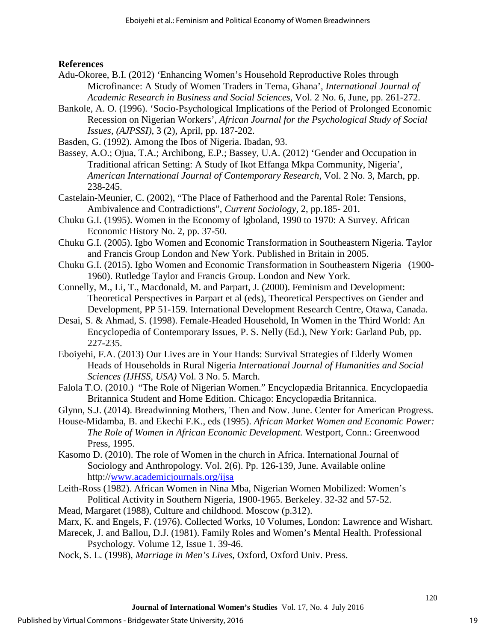#### **References**

- Adu-Okoree, B.I. (2012) 'Enhancing Women's Household Reproductive Roles through Microfinance: A Study of Women Traders in Tema, Ghana', *International Journal of Academic Research in Business and Social Sciences*, Vol. 2 No. 6, June, pp. 261-272.
- Bankole, A. O. (1996). 'Socio-Psychological Implications of the Period of Prolonged Economic Recession on Nigerian Workers', *African Journal for the Psychological Study of Social Issues, (AJPSSI)*, 3 (2), April, pp. 187-202.
- Basden, G. (1992). Among the Ibos of Nigeria. Ibadan, 93.
- Bassey, A.O.; Ojua, T.A.; Archibong, E.P.; Bassey, U.A. (2012) 'Gender and Occupation in Traditional african Setting: A Study of Ikot Effanga Mkpa Community, Nigeria', *American International Journal of Contemporary Research*, Vol. 2 No. 3, March, pp. 238-245.
- Castelain-Meunier, C. (2002), "The Place of Fatherhood and the Parental Role: Tensions, Ambivalence and Contradictions", *Current Sociology*, 2, pp.185- 201.
- Chuku G.I. (1995). Women in the Economy of Igboland, 1990 to 1970: A Survey. African Economic History No. 2, pp. 37-50.
- Chuku G.I. (2005). Igbo Women and Economic Transformation in Southeastern Nigeria. Taylor and Francis Group London and New York. Published in Britain in 2005.
- Chuku G.I. (2015). Igbo Women and Economic Transformation in Southeastern Nigeria (1900- 1960). Rutledge Taylor and Francis Group. London and New York.
- Connelly, M., Li, T., Macdonald, M. and Parpart, J. (2000). Feminism and Development: Theoretical Perspectives in Parpart et al (eds), Theoretical Perspectives on Gender and Development, PP 51-159. International Development Research Centre, Otawa, Canada.
- Desai, S. & Ahmad, S. (1998). Female-Headed Household, In Women in the Third World: An Encyclopedia of Contemporary Issues, P. S. Nelly (Ed.), New York: Garland Pub, pp. 227-235.
- Eboiyehi, F.A. (2013) Our Lives are in Your Hands: Survival Strategies of Elderly Women Heads of Households in Rural Nigeria *International Journal of Humanities and Social Sciences (IJHSS, USA)* Vol. 3 No. 5. March.
- Falola T.O. (2010.) "The Role of Nigerian Women." Encyclopædia Britannica. Encyclopaedia Britannica Student and Home Edition. Chicago: Encyclopædia Britannica.
- Glynn, S.J. (2014). Breadwinning Mothers, Then and Now. June. Center for American Progress.
- House-Midamba, B. and Ekechi F.K., eds (1995). *African Market Women and Economic Power: The Role of Women in African Economic Development.* Westport, Conn.: Greenwood Press, 1995.
- Kasomo D. (2010). The role of Women in the church in Africa. International Journal of Sociology and Anthropology. Vol. 2(6). Pp. 126-139, June. Available online http:/[/www.academicjournals.org/ijsa](http://www.academicjournals.org/ijsa)
- Leith-Ross (1982). African Women in Nina Mba, Nigerian Women Mobilized: Women's Political Activity in Southern Nigeria, 1900-1965. Berkeley. 32-32 and 57-52.
- Mead, Margaret (1988), Culture and childhood. Moscow (p.312).
- Marx, K. and Engels, F. (1976). Collected Works, 10 Volumes, London: Lawrence and Wishart.

Marecek, J. and Ballou, D.J. (1981). Family Roles and Women's Mental Health. Professional Psychology. Volume 12, Issue 1. 39-46.

Nock, S. L. (1998), *Marriage in Men's Lives*, Oxford, Oxford Univ. Press.